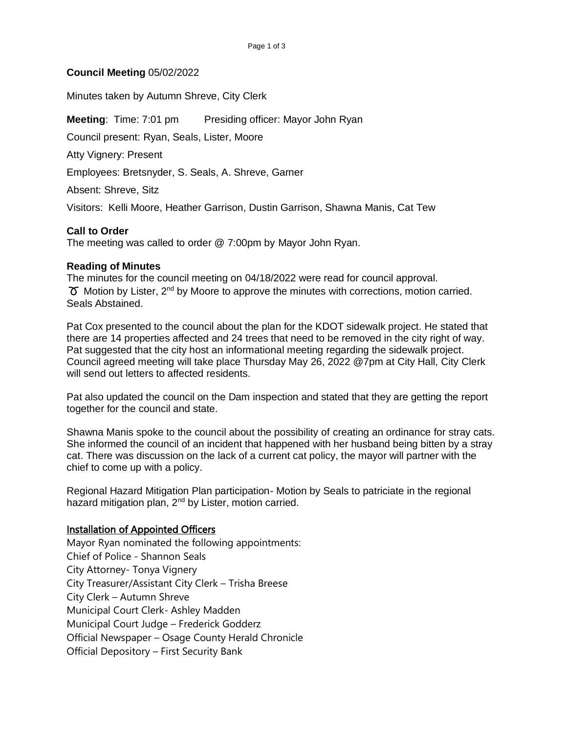## **Council Meeting** 05/02/2022

Minutes taken by Autumn Shreve, City Clerk

**Meeting:** Time: 7:01 pm Presiding officer: Mayor John Ryan

Council present: Ryan, Seals, Lister, Moore

Atty Vignery: Present

Employees: Bretsnyder, S. Seals, A. Shreve, Garner

Absent: Shreve, Sitz

Visitors: Kelli Moore, Heather Garrison, Dustin Garrison, Shawna Manis, Cat Tew

## **Call to Order**

The meeting was called to order @ 7:00pm by Mayor John Ryan.

## **Reading of Minutes**

The minutes for the council meeting on 04/18/2022 were read for council approval.  $\sigma$  Motion by Lister, 2<sup>nd</sup> by Moore to approve the minutes with corrections, motion carried. Seals Abstained.

Pat Cox presented to the council about the plan for the KDOT sidewalk project. He stated that there are 14 properties affected and 24 trees that need to be removed in the city right of way. Pat suggested that the city host an informational meeting regarding the sidewalk project. Council agreed meeting will take place Thursday May 26, 2022 @7pm at City Hall, City Clerk will send out letters to affected residents.

Pat also updated the council on the Dam inspection and stated that they are getting the report together for the council and state.

Shawna Manis spoke to the council about the possibility of creating an ordinance for stray cats. She informed the council of an incident that happened with her husband being bitten by a stray cat. There was discussion on the lack of a current cat policy, the mayor will partner with the chief to come up with a policy.

Regional Hazard Mitigation Plan participation- Motion by Seals to patriciate in the regional hazard mitigation plan, 2<sup>nd</sup> by Lister, motion carried.

# Installation of Appointed Officers

Mayor Ryan nominated the following appointments: Chief of Police - Shannon Seals City Attorney- Tonya Vignery City Treasurer/Assistant City Clerk – Trisha Breese City Clerk – Autumn Shreve Municipal Court Clerk- Ashley Madden Municipal Court Judge – Frederick Godderz Official Newspaper – Osage County Herald Chronicle Official Depository – First Security Bank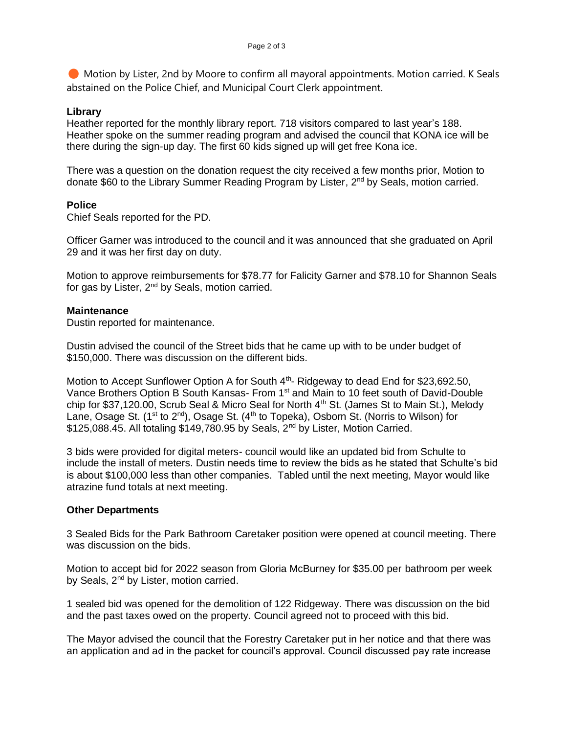Motion by Lister, 2nd by Moore to confirm all mayoral appointments. Motion carried. K Seals abstained on the Police Chief, and Municipal Court Clerk appointment.

#### **Library**

Heather reported for the monthly library report. 718 visitors compared to last year's 188. Heather spoke on the summer reading program and advised the council that KONA ice will be there during the sign-up day. The first 60 kids signed up will get free Kona ice.

There was a question on the donation request the city received a few months prior, Motion to donate \$60 to the Library Summer Reading Program by Lister, 2<sup>nd</sup> by Seals, motion carried.

## **Police**

Chief Seals reported for the PD.

Officer Garner was introduced to the council and it was announced that she graduated on April 29 and it was her first day on duty.

Motion to approve reimbursements for \$78.77 for Falicity Garner and \$78.10 for Shannon Seals for gas by Lister, 2<sup>nd</sup> by Seals, motion carried.

## **Maintenance**

Dustin reported for maintenance.

Dustin advised the council of the Street bids that he came up with to be under budget of \$150,000. There was discussion on the different bids.

Motion to Accept Sunflower Option A for South  $4<sup>th</sup>$ - Ridgeway to dead End for \$23,692.50, Vance Brothers Option B South Kansas- From 1<sup>st</sup> and Main to 10 feet south of David-Double chip for \$37,120.00, Scrub Seal & Micro Seal for North  $4<sup>th</sup>$  St. (James St to Main St.), Melody Lane, Osage St. (1<sup>st</sup> to 2<sup>nd</sup>), Osage St. (4<sup>th</sup> to Topeka), Osborn St. (Norris to Wilson) for \$125,088.45. All totaling \$149,780.95 by Seals, 2<sup>nd</sup> by Lister, Motion Carried.

3 bids were provided for digital meters- council would like an updated bid from Schulte to include the install of meters. Dustin needs time to review the bids as he stated that Schulte's bid is about \$100,000 less than other companies. Tabled until the next meeting, Mayor would like atrazine fund totals at next meeting.

#### **Other Departments**

3 Sealed Bids for the Park Bathroom Caretaker position were opened at council meeting. There was discussion on the bids.

Motion to accept bid for 2022 season from Gloria McBurney for \$35.00 per bathroom per week by Seals, 2<sup>nd</sup> by Lister, motion carried.

1 sealed bid was opened for the demolition of 122 Ridgeway. There was discussion on the bid and the past taxes owed on the property. Council agreed not to proceed with this bid.

The Mayor advised the council that the Forestry Caretaker put in her notice and that there was an application and ad in the packet for council's approval. Council discussed pay rate increase